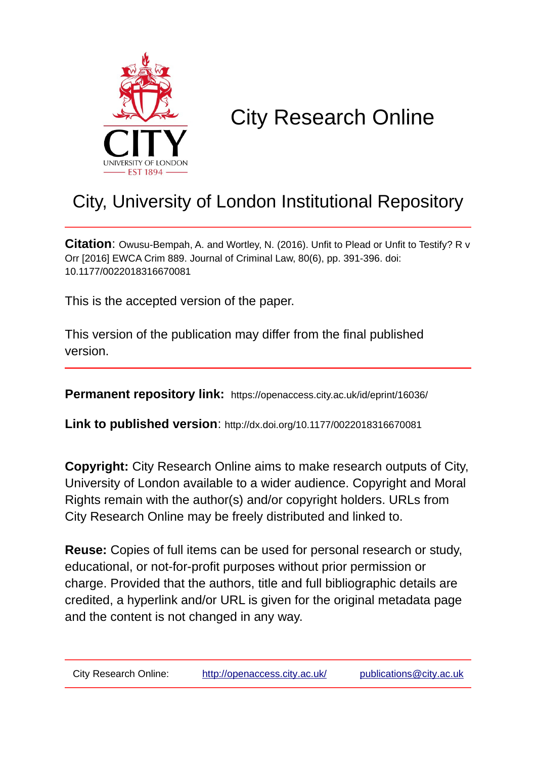

# City Research Online

## City, University of London Institutional Repository

**Citation**: Owusu-Bempah, A. and Wortley, N. (2016). Unfit to Plead or Unfit to Testify? R v Orr [2016] EWCA Crim 889. Journal of Criminal Law, 80(6), pp. 391-396. doi: 10.1177/0022018316670081

This is the accepted version of the paper.

This version of the publication may differ from the final published version.

**Permanent repository link:** https://openaccess.city.ac.uk/id/eprint/16036/

**Link to published version**: http://dx.doi.org/10.1177/0022018316670081

**Copyright:** City Research Online aims to make research outputs of City, University of London available to a wider audience. Copyright and Moral Rights remain with the author(s) and/or copyright holders. URLs from City Research Online may be freely distributed and linked to.

**Reuse:** Copies of full items can be used for personal research or study, educational, or not-for-profit purposes without prior permission or charge. Provided that the authors, title and full bibliographic details are credited, a hyperlink and/or URL is given for the original metadata page and the content is not changed in any way.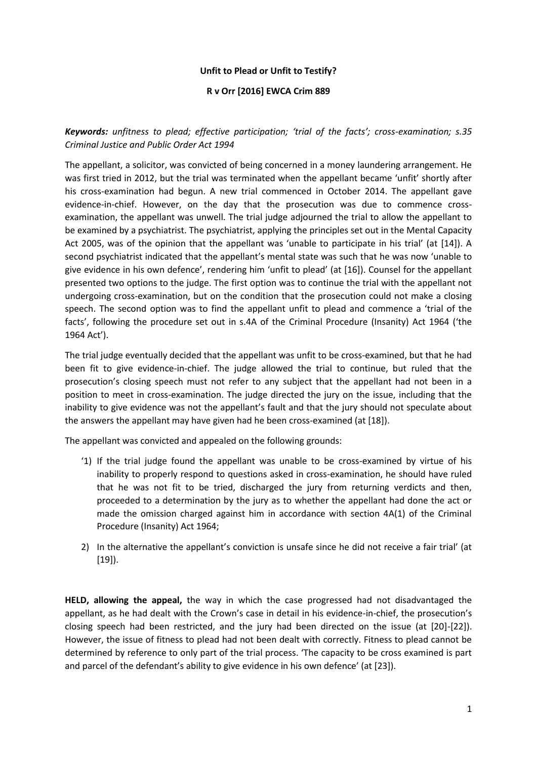### **Unfit to Plead or Unfit to Testify?**

#### **R v Orr [2016] EWCA Crim 889**

*Keywords: unfitness to plead; effective participation; 'trial of the facts'; cross-examination; s.35 Criminal Justice and Public Order Act 1994*

The appellant, a solicitor, was convicted of being concerned in a money laundering arrangement. He was first tried in 2012, but the trial was terminated when the appellant became 'unfit' shortly after his cross-examination had begun. A new trial commenced in October 2014. The appellant gave evidence-in-chief. However, on the day that the prosecution was due to commence crossexamination, the appellant was unwell. The trial judge adjourned the trial to allow the appellant to be examined by a psychiatrist. The psychiatrist, applying the principles set out in the Mental Capacity Act 2005, was of the opinion that the appellant was 'unable to participate in his trial' (at [14]). A second psychiatrist indicated that the appellant's mental state was such that he was now 'unable to give evidence in his own defence', rendering him 'unfit to plead' (at [16]). Counsel for the appellant presented two options to the judge. The first option was to continue the trial with the appellant not undergoing cross-examination, but on the condition that the prosecution could not make a closing speech. The second option was to find the appellant unfit to plead and commence a 'trial of the facts', following the procedure set out in s.4A of the Criminal Procedure (Insanity) Act 1964 ('the 1964 Act').

The trial judge eventually decided that the appellant was unfit to be cross-examined, but that he had been fit to give evidence-in-chief. The judge allowed the trial to continue, but ruled that the prosecution's closing speech must not refer to any subject that the appellant had not been in a position to meet in cross-examination. The judge directed the jury on the issue, including that the inability to give evidence was not the appellant's fault and that the jury should not speculate about the answers the appellant may have given had he been cross-examined (at [18]).

The appellant was convicted and appealed on the following grounds:

- '1) If the trial judge found the appellant was unable to be cross-examined by virtue of his inability to properly respond to questions asked in cross-examination, he should have ruled that he was not fit to be tried, discharged the jury from returning verdicts and then, proceeded to a determination by the jury as to whether the appellant had done the act or made the omission charged against him in accordance with section 4A(1) of the Criminal Procedure (Insanity) Act 1964;
- 2) In the alternative the appellant's conviction is unsafe since he did not receive a fair trial' (at [19]).

**HELD, allowing the appeal,** the way in which the case progressed had not disadvantaged the appellant, as he had dealt with the Crown's case in detail in his evidence-in-chief, the prosecution's closing speech had been restricted, and the jury had been directed on the issue (at [20]-[22]). However, the issue of fitness to plead had not been dealt with correctly. Fitness to plead cannot be determined by reference to only part of the trial process. 'The capacity to be cross examined is part and parcel of the defendant's ability to give evidence in his own defence' (at [23]).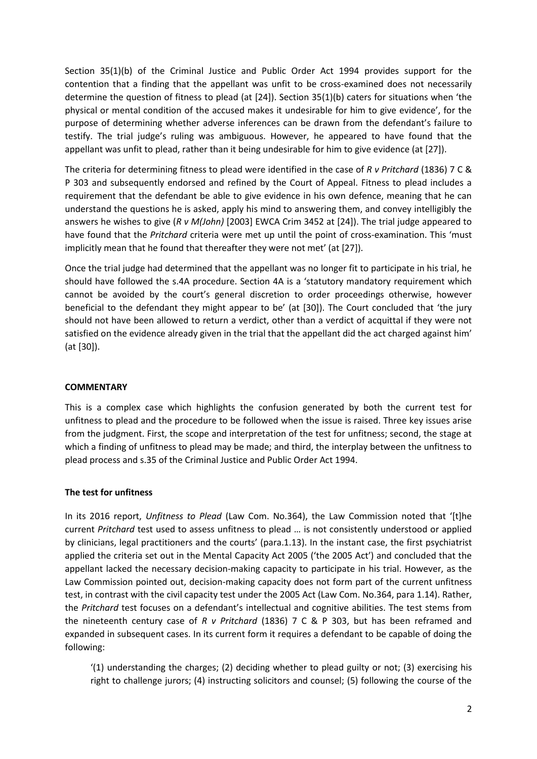Section 35(1)(b) of the Criminal Justice and Public Order Act 1994 provides support for the contention that a finding that the appellant was unfit to be cross-examined does not necessarily determine the question of fitness to plead (at [24]). Section 35(1)(b) caters for situations when 'the physical or mental condition of the accused makes it undesirable for him to give evidence', for the purpose of determining whether adverse inferences can be drawn from the defendant's failure to testify. The trial judge's ruling was ambiguous. However, he appeared to have found that the appellant was unfit to plead, rather than it being undesirable for him to give evidence (at [27]).

The criteria for determining fitness to plead were identified in the case of *R v Pritchard* (1836) 7 C & P 303 and subsequently endorsed and refined by the Court of Appeal. Fitness to plead includes a requirement that the defendant be able to give evidence in his own defence, meaning that he can understand the questions he is asked, apply his mind to answering them, and convey intelligibly the answers he wishes to give (*R v M(John)* [2003] EWCA Crim 3452 at [24]). The trial judge appeared to have found that the *Pritchard* criteria were met up until the point of cross-examination. This 'must implicitly mean that he found that thereafter they were not met' (at [27]).

Once the trial judge had determined that the appellant was no longer fit to participate in his trial, he should have followed the s.4A procedure. Section 4A is a 'statutory mandatory requirement which cannot be avoided by the court's general discretion to order proceedings otherwise, however beneficial to the defendant they might appear to be' (at [30]). The Court concluded that 'the jury should not have been allowed to return a verdict, other than a verdict of acquittal if they were not satisfied on the evidence already given in the trial that the appellant did the act charged against him' (at [30]).

### **COMMENTARY**

This is a complex case which highlights the confusion generated by both the current test for unfitness to plead and the procedure to be followed when the issue is raised. Three key issues arise from the judgment. First, the scope and interpretation of the test for unfitness; second, the stage at which a finding of unfitness to plead may be made; and third, the interplay between the unfitness to plead process and s.35 of the Criminal Justice and Public Order Act 1994.

#### **The test for unfitness**

In its 2016 report, *Unfitness to Plead* (Law Com. No.364), the Law Commission noted that '[t]he current *Pritchard* test used to assess unfitness to plead … is not consistently understood or applied by clinicians, legal practitioners and the courts' (para.1.13). In the instant case, the first psychiatrist applied the criteria set out in the Mental Capacity Act 2005 ('the 2005 Act') and concluded that the appellant lacked the necessary decision-making capacity to participate in his trial. However, as the Law Commission pointed out, decision-making capacity does not form part of the current unfitness test, in contrast with the civil capacity test under the 2005 Act (Law Com. No.364, para 1.14). Rather, the *Pritchard* test focuses on a defendant's intellectual and cognitive abilities. The test stems from the nineteenth century case of *R v Pritchard* (1836) 7 C & P 303, but has been reframed and expanded in subsequent cases. In its current form it requires a defendant to be capable of doing the following:

'(1) understanding the charges; (2) deciding whether to plead guilty or not; (3) exercising his right to challenge jurors; (4) instructing solicitors and counsel; (5) following the course of the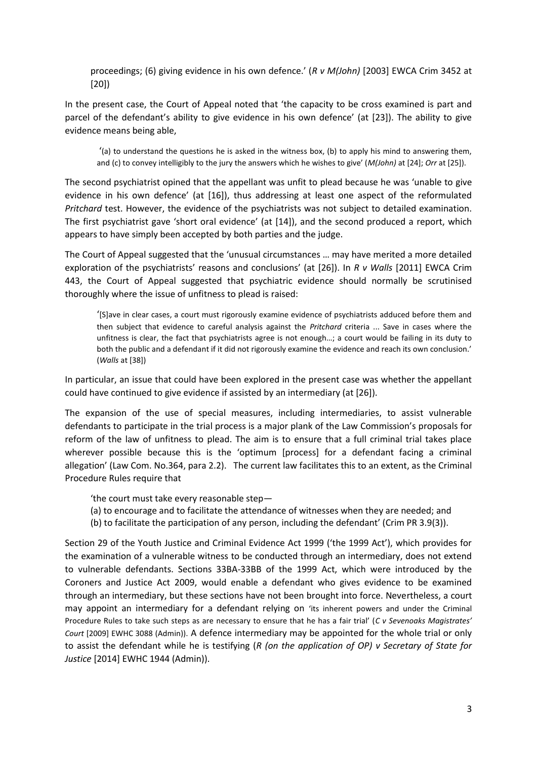proceedings; (6) giving evidence in his own defence.' (*R v M(John)* [2003] EWCA Crim 3452 at [20])

In the present case, the Court of Appeal noted that 'the capacity to be cross examined is part and parcel of the defendant's ability to give evidence in his own defence' (at [23]). The ability to give evidence means being able,

'(a) to understand the questions he is asked in the witness box, (b) to apply his mind to answering them, and (c) to convey intelligibly to the jury the answers which he wishes to give' (*M(John)* at [24]; *Orr* at [25]).

The second psychiatrist opined that the appellant was unfit to plead because he was 'unable to give evidence in his own defence' (at [16]), thus addressing at least one aspect of the reformulated *Pritchard* test. However, the evidence of the psychiatrists was not subject to detailed examination. The first psychiatrist gave 'short oral evidence' (at [14]), and the second produced a report, which appears to have simply been accepted by both parties and the judge.

The Court of Appeal suggested that the 'unusual circumstances … may have merited a more detailed exploration of the psychiatrists' reasons and conclusions' (at [26]). In *R v Walls* [2011] EWCA Crim 443, the Court of Appeal suggested that psychiatric evidence should normally be scrutinised thoroughly where the issue of unfitness to plead is raised:

'[S]ave in clear cases, a court must rigorously examine evidence of psychiatrists adduced before them and then subject that evidence to careful analysis against the *Pritchard* criteria ... Save in cases where the unfitness is clear, the fact that psychiatrists agree is not enough…; a court would be failing in its duty to both the public and a defendant if it did not rigorously examine the evidence and reach its own conclusion.' (*Walls* at [38])

In particular, an issue that could have been explored in the present case was whether the appellant could have continued to give evidence if assisted by an intermediary (at [26]).

The expansion of the use of special measures, including intermediaries, to assist vulnerable defendants to participate in the trial process is a major plank of the Law Commission's proposals for reform of the law of unfitness to plead. The aim is to ensure that a full criminal trial takes place wherever possible because this is the 'optimum [process] for a defendant facing a criminal allegation' (Law Com. No.364, para 2.2). The current law facilitates this to an extent, as the Criminal Procedure Rules require that

'the court must take every reasonable step―

- (a) to encourage and to facilitate the attendance of witnesses when they are needed; and
- (b) to facilitate the participation of any person, including the defendant' (Crim PR 3.9(3)).

Section 29 of the Youth Justice and Criminal Evidence Act 1999 ('the 1999 Act'), which provides for the examination of a vulnerable witness to be conducted through an intermediary, does not extend to vulnerable defendants. Sections 33BA-33BB of the 1999 Act, which were introduced by the Coroners and Justice Act 2009, would enable a defendant who gives evidence to be examined through an intermediary, but these sections have not been brought into force. Nevertheless, a court may appoint an intermediary for a defendant relying on 'its inherent powers and under the [Criminal](http://login.westlaw.co.uk/maf/wluk/app/document?src=doc&linktype=ref&context=30&crumb-action=replace&docguid=I6260A4A0E42311DAA7CF8F68F6EE57AB)  [Procedure Rules](http://login.westlaw.co.uk/maf/wluk/app/document?src=doc&linktype=ref&context=30&crumb-action=replace&docguid=I6260A4A0E42311DAA7CF8F68F6EE57AB) to take such steps as are necessary to ensure that he has a fair trial' (*C v Sevenoaks Magistrates' Court* [2009] EWHC 3088 (Admin)). A defence intermediary may be appointed for the whole trial or only to assist the defendant while he is testifying (*R (on the application of OP) v Secretary of State for Justice* [2014] EWHC 1944 (Admin)).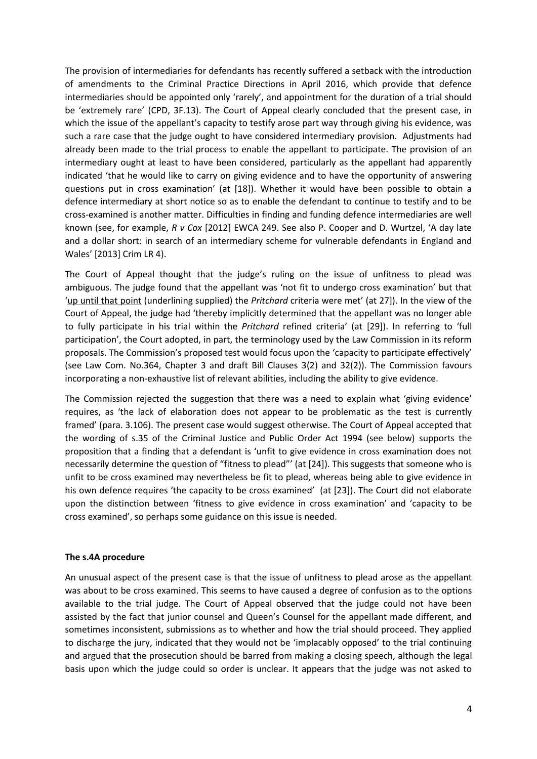The provision of intermediaries for defendants has recently suffered a setback with the introduction of amendments to the Criminal Practice Directions in April 2016, which provide that defence intermediaries should be appointed only 'rarely', and appointment for the duration of a trial should be 'extremely rare' (CPD, 3F.13). The Court of Appeal clearly concluded that the present case, in which the issue of the appellant's capacity to testify arose part way through giving his evidence, was such a rare case that the judge ought to have considered intermediary provision. Adjustments had already been made to the trial process to enable the appellant to participate. The provision of an intermediary ought at least to have been considered, particularly as the appellant had apparently indicated 'that he would like to carry on giving evidence and to have the opportunity of answering questions put in cross examination' (at [18]). Whether it would have been possible to obtain a defence intermediary at short notice so as to enable the defendant to continue to testify and to be cross-examined is another matter. Difficulties in finding and funding defence intermediaries are well known (see, for example, *R v Cox* [2012] EWCA 249. See also P. Cooper and D. Wurtzel, 'A day late and a dollar short: in search of an intermediary scheme for vulnerable defendants in England and Wales' [2013] Crim LR 4).

The Court of Appeal thought that the judge's ruling on the issue of unfitness to plead was ambiguous. The judge found that the appellant was 'not fit to undergo cross examination' but that 'up until that point (underlining supplied) the *Pritchard* criteria were met' (at 27]). In the view of the Court of Appeal, the judge had 'thereby implicitly determined that the appellant was no longer able to fully participate in his trial within the *Pritchard* refined criteria' (at [29]). In referring to 'full participation', the Court adopted, in part, the terminology used by the Law Commission in its reform proposals. The Commission's proposed test would focus upon the 'capacity to participate effectively' (see Law Com. No.364, Chapter 3 and draft Bill Clauses 3(2) and 32(2)). The Commission favours incorporating a non-exhaustive list of relevant abilities, including the ability to give evidence.

The Commission rejected the suggestion that there was a need to explain what 'giving evidence' requires, as 'the lack of elaboration does not appear to be problematic as the test is currently framed' (para. 3.106). The present case would suggest otherwise. The Court of Appeal accepted that the wording of s.35 of the Criminal Justice and Public Order Act 1994 (see below) supports the proposition that a finding that a defendant is 'unfit to give evidence in cross examination does not necessarily determine the question of "fitness to plead"' (at [24]). This suggests that someone who is unfit to be cross examined may nevertheless be fit to plead, whereas being able to give evidence in his own defence requires 'the capacity to be cross examined' (at [23]). The Court did not elaborate upon the distinction between 'fitness to give evidence in cross examination' and 'capacity to be cross examined', so perhaps some guidance on this issue is needed.

### **The s.4A procedure**

An unusual aspect of the present case is that the issue of unfitness to plead arose as the appellant was about to be cross examined. This seems to have caused a degree of confusion as to the options available to the trial judge. The Court of Appeal observed that the judge could not have been assisted by the fact that junior counsel and Queen's Counsel for the appellant made different, and sometimes inconsistent, submissions as to whether and how the trial should proceed. They applied to discharge the jury, indicated that they would not be 'implacably opposed' to the trial continuing and argued that the prosecution should be barred from making a closing speech, although the legal basis upon which the judge could so order is unclear. It appears that the judge was not asked to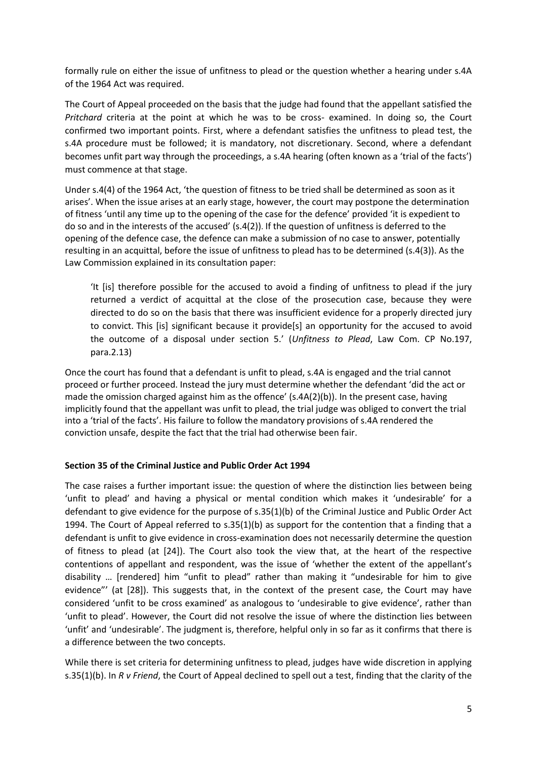formally rule on either the issue of unfitness to plead or the question whether a hearing under s.4A of the 1964 Act was required.

The Court of Appeal proceeded on the basis that the judge had found that the appellant satisfied the *Pritchard* criteria at the point at which he was to be cross- examined. In doing so, the Court confirmed two important points. First, where a defendant satisfies the unfitness to plead test, the s.4A procedure must be followed; it is mandatory, not discretionary. Second, where a defendant becomes unfit part way through the proceedings, a s.4A hearing (often known as a 'trial of the facts') must commence at that stage.

Under s.4(4) of the 1964 Act, 'the question of fitness to be tried shall be determined as soon as it arises'. When the issue arises at an early stage, however, the court may postpone the determination of fitness 'until any time up to the opening of the case for the defence' provided 'it is expedient to do so and in the interests of the accused' (s.4(2)). If the question of unfitness is deferred to the opening of the defence case, the defence can make a submission of no case to answer, potentially resulting in an acquittal, before the issue of unfitness to plead has to be determined (s.4(3)). As the Law Commission explained in its consultation paper:

'It [is] therefore possible for the accused to avoid a finding of unfitness to plead if the jury returned a verdict of acquittal at the close of the prosecution case, because they were directed to do so on the basis that there was insufficient evidence for a properly directed jury to convict. This [is] significant because it provide[s] an opportunity for the accused to avoid the outcome of a disposal under section 5.' (*Unfitness to Plead*, Law Com. CP No.197, para.2.13)

Once the court has found that a defendant is unfit to plead, s.4A is engaged and the trial cannot proceed or further proceed. Instead the jury must determine whether the defendant 'did the act or made the omission charged against him as the offence' (s.4A(2)(b)). In the present case, having implicitly found that the appellant was unfit to plead, the trial judge was obliged to convert the trial into a 'trial of the facts'. His failure to follow the mandatory provisions of s.4A rendered the conviction unsafe, despite the fact that the trial had otherwise been fair.

### **Section 35 of the Criminal Justice and Public Order Act 1994**

The case raises a further important issue: the question of where the distinction lies between being 'unfit to plead' and having a physical or mental condition which makes it 'undesirable' for a defendant to give evidence for the purpose of s.35(1)(b) of the Criminal Justice and Public Order Act 1994. The Court of Appeal referred to s.35(1)(b) as support for the contention that a finding that a defendant is unfit to give evidence in cross-examination does not necessarily determine the question of fitness to plead (at [24]). The Court also took the view that, at the heart of the respective contentions of appellant and respondent, was the issue of 'whether the extent of the appellant's disability … [rendered] him "unfit to plead" rather than making it "undesirable for him to give evidence"' (at [28]). This suggests that, in the context of the present case, the Court may have considered 'unfit to be cross examined' as analogous to 'undesirable to give evidence', rather than 'unfit to plead'. However, the Court did not resolve the issue of where the distinction lies between 'unfit' and 'undesirable'. The judgment is, therefore, helpful only in so far as it confirms that there is a difference between the two concepts.

While there is set criteria for determining unfitness to plead, judges have wide discretion in applying s.35(1)(b). In *R v Friend*, the Court of Appeal declined to spell out a test, finding that the clarity of the